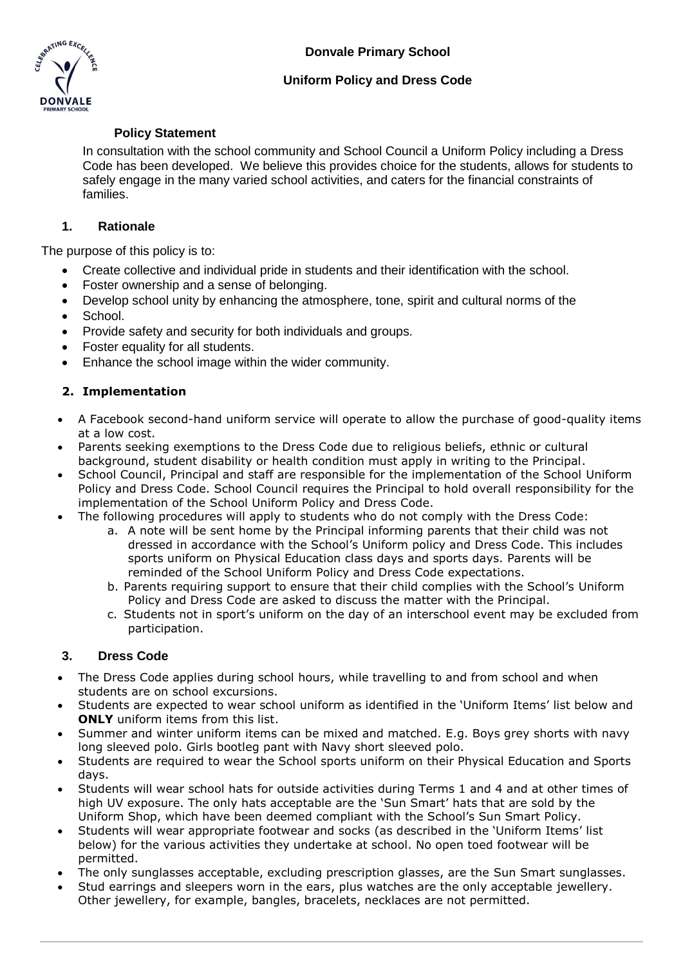**Donvale Primary School**



## **Uniform Policy and Dress Code**

## **Policy Statement**

In consultation with the school community and School Council a Uniform Policy including a Dress Code has been developed. We believe this provides choice for the students, allows for students to safely engage in the many varied school activities, and caters for the financial constraints of families.

## **1. Rationale**

The purpose of this policy is to:

- Create collective and individual pride in students and their identification with the school.
- Foster ownership and a sense of belonging.
- Develop school unity by enhancing the atmosphere, tone, spirit and cultural norms of the
- School.
- Provide safety and security for both individuals and groups.
- Foster equality for all students.
- Enhance the school image within the wider community.

# **2. Implementation**

- A Facebook second-hand uniform service will operate to allow the purchase of good-quality items at a low cost.
- Parents seeking exemptions to the Dress Code due to religious beliefs, ethnic or cultural background, student disability or health condition must apply in writing to the Principal.
- School Council, Principal and staff are responsible for the implementation of the School Uniform Policy and Dress Code. School Council requires the Principal to hold overall responsibility for the implementation of the School Uniform Policy and Dress Code.
- The following procedures will apply to students who do not comply with the Dress Code:
	- a. A note will be sent home by the Principal informing parents that their child was not dressed in accordance with the School's Uniform policy and Dress Code. This includes sports uniform on Physical Education class days and sports days. Parents will be reminded of the School Uniform Policy and Dress Code expectations.
	- b. Parents requiring support to ensure that their child complies with the School's Uniform Policy and Dress Code are asked to discuss the matter with the Principal.
	- c. Students not in sport's uniform on the day of an interschool event may be excluded from participation.

### **3. Dress Code**

- The Dress Code applies during school hours, while travelling to and from school and when students are on school excursions.
- Students are expected to wear school uniform as identified in the 'Uniform Items' list below and **ONLY** uniform items from this list.
- Summer and winter uniform items can be mixed and matched. E.g. Boys grey shorts with navy long sleeved polo. Girls bootleg pant with Navy short sleeved polo.
- Students are required to wear the School sports uniform on their Physical Education and Sports days.
- Students will wear school hats for outside activities during Terms 1 and 4 and at other times of high UV exposure. The only hats acceptable are the 'Sun Smart' hats that are sold by the Uniform Shop, which have been deemed compliant with the School's Sun Smart Policy.
- Students will wear appropriate footwear and socks (as described in the 'Uniform Items' list below) for the various activities they undertake at school. No open toed footwear will be permitted.
- The only sunglasses acceptable, excluding prescription glasses, are the Sun Smart sunglasses.
- Stud earrings and sleepers worn in the ears, plus watches are the only acceptable jewellery. Other jewellery, for example, bangles, bracelets, necklaces are not permitted.